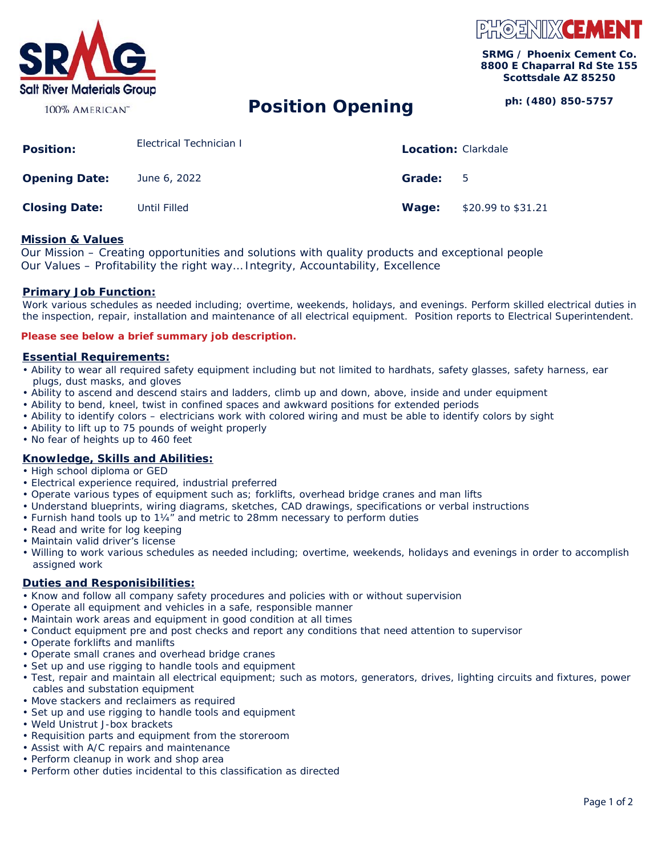

#### 100% AMERICAN<sup>™</sup>

# PHOENIX**CEME**

**SRMG / Phoenix Cement Co. 8800 E Chaparral Rd Ste 155 Scottsdale AZ 85250** 

## **ph: (480) 850-5757 Position Opening**

| <b>Position:</b>     | Electrical Technician I | <b>Location: Clarkdale</b> |                    |
|----------------------|-------------------------|----------------------------|--------------------|
| <b>Opening Date:</b> | June 6, 2022            | Grade:                     | - 5                |
| <b>Closing Date:</b> | Until Filled            | Wage:                      | \$20.99 to \$31.21 |

#### **Mission & Values**

Our Mission – Creating opportunities and solutions with quality products and exceptional people Our Values – Profitability the right way… Integrity, Accountability, Excellence

## **Primary Job Function:**

Work various schedules as needed including; overtime, weekends, holidays, and evenings. Perform skilled electrical duties in the inspection, repair, installation and maintenance of all electrical equipment. Position reports to Electrical Superintendent.

#### **Please see below a brief summary job description.**

#### *Essential Requirements:*

- Ability to wear all required safety equipment including but not limited to hardhats, safety glasses, safety harness, ear plugs, dust masks, and gloves
- Ability to ascend and descend stairs and ladders, climb up and down, above, inside and under equipment
- Ability to bend, kneel, twist in confined spaces and awkward positions for extended periods
- Ability to identify colors electricians work with colored wiring and must be able to identify colors by sight
- Ability to lift up to 75 pounds of weight properly
- No fear of heights up to 460 feet

## *Knowledge, Skills and Abilities:*

- High school diploma or GED
- Electrical experience required, industrial preferred
- Operate various types of equipment such as; forklifts, overhead bridge cranes and man lifts
- Understand blueprints, wiring diagrams, sketches, CAD drawings, specifications or verbal instructions
- Furnish hand tools up to 1¼" and metric to 28mm necessary to perform duties
- Read and write for log keeping
- Maintain valid driver's license
- Willing to work various schedules as needed including; overtime, weekends, holidays and evenings in order to accomplish assigned work

## *Duties and Responisibilities:*

- Know and follow all company safety procedures and policies with or without supervision
- Operate all equipment and vehicles in a safe, responsible manner
- Maintain work areas and equipment in good condition at all times
- Conduct equipment pre and post checks and report any conditions that need attention to supervisor
- Operate forklifts and manlifts
- Operate small cranes and overhead bridge cranes
- Set up and use rigging to handle tools and equipment
- Test, repair and maintain all electrical equipment; such as motors, generators, drives, lighting circuits and fixtures, power cables and substation equipment
- Move stackers and reclaimers as required
- Set up and use rigging to handle tools and equipment
- Weld Unistrut J-box brackets
- Requisition parts and equipment from the storeroom
- Assist with A/C repairs and maintenance
- Perform cleanup in work and shop area
- Perform other duties incidental to this classification as directed